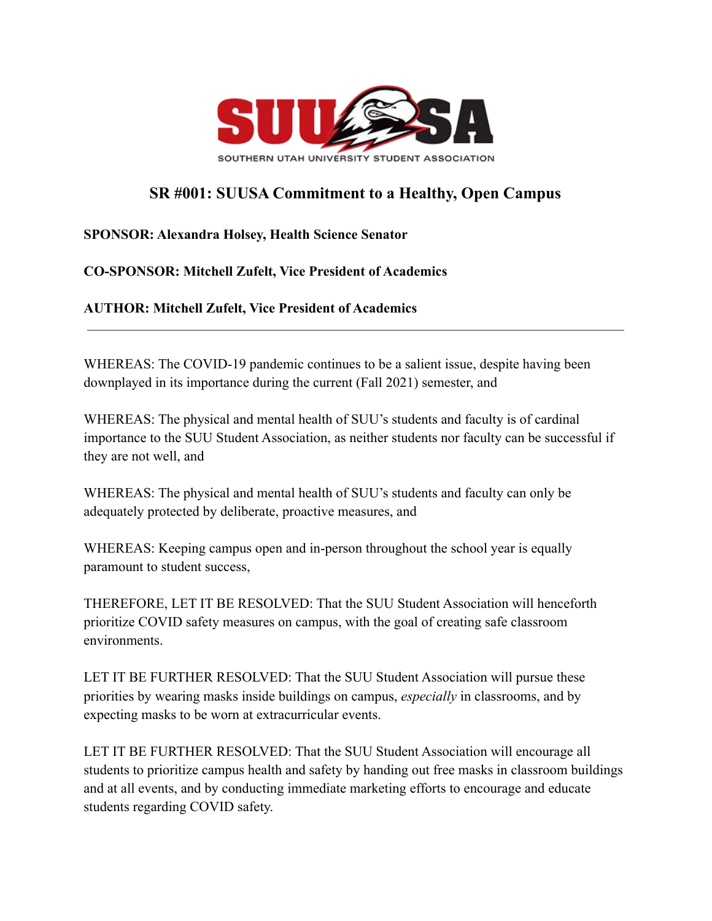

## **SR #001: SUUSA Commitment to a Healthy, Open Campus**

## **SPONSOR: Alexandra Holsey, Health Science Senator**

## **CO-SPONSOR: Mitchell Zufelt, Vice President of Academics**

**AUTHOR: Mitchell Zufelt, Vice President of Academics**

WHEREAS: The COVID-19 pandemic continues to be a salient issue, despite having been downplayed in its importance during the current (Fall 2021) semester, and

WHEREAS: The physical and mental health of SUU's students and faculty is of cardinal importance to the SUU Student Association, as neither students nor faculty can be successful if they are not well, and

WHEREAS: The physical and mental health of SUU's students and faculty can only be adequately protected by deliberate, proactive measures, and

WHEREAS: Keeping campus open and in-person throughout the school year is equally paramount to student success,

THEREFORE, LET IT BE RESOLVED: That the SUU Student Association will henceforth prioritize COVID safety measures on campus, with the goal of creating safe classroom environments.

LET IT BE FURTHER RESOLVED: That the SUU Student Association will pursue these priorities by wearing masks inside buildings on campus, *especially* in classrooms, and by expecting masks to be worn at extracurricular events.

LET IT BE FURTHER RESOLVED: That the SUU Student Association will encourage all students to prioritize campus health and safety by handing out free masks in classroom buildings and at all events, and by conducting immediate marketing efforts to encourage and educate students regarding COVID safety.